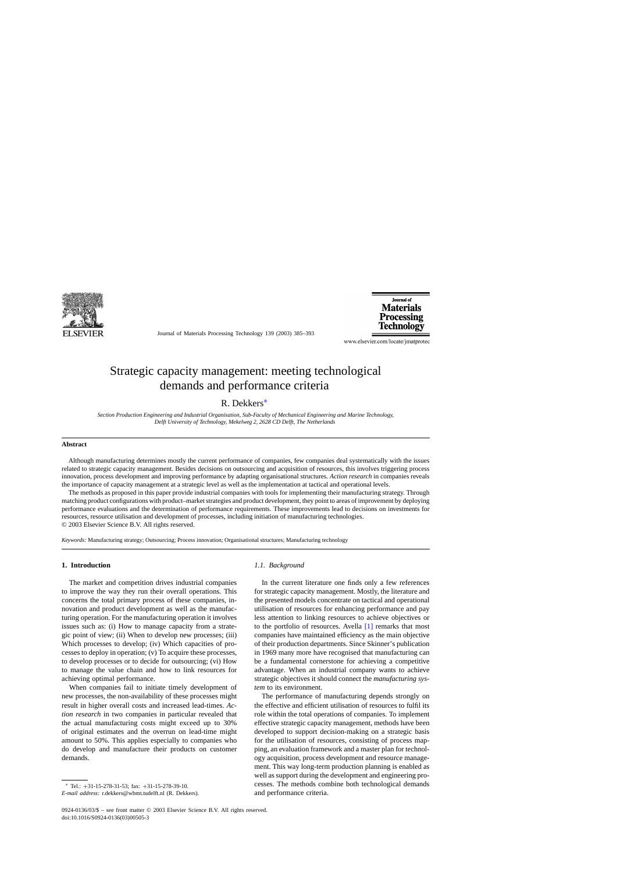

Journal of Materials Processing Technology 139 (2003) 385–393

www.elsevier.com/locate/jmatprotec

Journal of **Materials** Processing Technology

# Strategic capacity management: meeting technological demands and performance criteria

# R. Dekkers∗

*Section Production Engineering and Industrial Organisation, Sub-Faculty of Mechanical Engineering and Marine Technology, Delft University of Technology, Mekelweg 2, 2628 CD Delft, The Netherlands*

#### **Abstract**

Although manufacturing determines mostly the current performance of companies, few companies deal systematically with the issues related to strategic capacity management. Besides decisions on outsourcing and acquisition of resources, this involves triggering process innovation, process development and improving performance by adapting organisational structures. *Action research* in companies reveals the importance of capacity management at a strategic level as well as the implementation at tactical and operational levels.

The methods as proposed in this paper provide industrial companies with tools for implementing their manufacturing strategy. Through matching product configurations with product–market strategies and product development, they point to areas of improvement by deploying performance evaluations and the determination of performance requirements. These improvements lead to decisions on investments for resources, resource utilisation and development of processes, including initiation of manufacturing technologies. © 2003 Elsevier Science B.V. All rights reserved.

*Keywords:* Manufacturing strategy; Outsourcing; Process innovation; Organisational structures; Manufacturing technology

## **1. Introduction**

The market and competition drives industrial companies to improve the way they run their overall operations. This concerns the total primary process of these companies, innovation and product development as well as the manufacturing operation. For the manufacturing operation it involves issues such as: (i) How to manage capacity from a strategic point of view; (ii) When to develop new processes; (iii) Which processes to develop; (iv) Which capacities of processes to deploy in operation; (v) To acquire these processes, to develop processes or to decide for outsourcing; (vi) How to manage the value chain and how to link resources for achieving optimal performance.

When companies fail to initiate timely development of new processes, the non-availability of these processes might result in higher overall costs and increased lead-times. *Action research* in two companies in particular revealed that the actual manufacturing costs might exceed up to 30% of original estimates and the overrun on lead-time might amount to 50%. This applies especially to companies who do develop and manufacture their products on customer demands.

### *1.1. Background*

In the current literature one finds only a few references for strategic capacity management. Mostly, the literature and the presented models concentrate on tactical and operational utilisation of resources for enhancing performance and pay less attention to linking resources to achieve objectives or to the portfolio of resources. Avella [\[1\]](#page--1-0) remarks that most companies have maintained efficiency as the main objective of their production departments. Since Skinner's publication in 1969 many more have recognised that manufacturing can be a fundamental cornerstone for achieving a competitive advantage. When an industrial company wants to achieve strategic objectives it should connect the *manufacturing system* to its environment.

The performance of manufacturing depends strongly on the effective and efficient utilisation of resources to fulfil its role within the total operations of companies. To implement effective strategic capacity management, methods have been developed to support decision-making on a strategic basis for the utilisation of resources, consisting of process mapping, an evaluation framework and a master plan for technology acquisition, process development and resource management. This way long-term production planning is enabled as well as support during the development and engineering processes. The methods combine both technological demands and performance criteria.

<sup>∗</sup> Tel.: +31-15-278-31-53; fax: +31-15-278-39-10.

*E-mail address:* r.dekkers@wbmt.tudelft.nl (R. Dekkers).

<sup>0924-0136/03/\$ –</sup> see front matter © 2003 Elsevier Science B.V. All rights reserved. doi:10.1016/S0924-0136(03)00505-3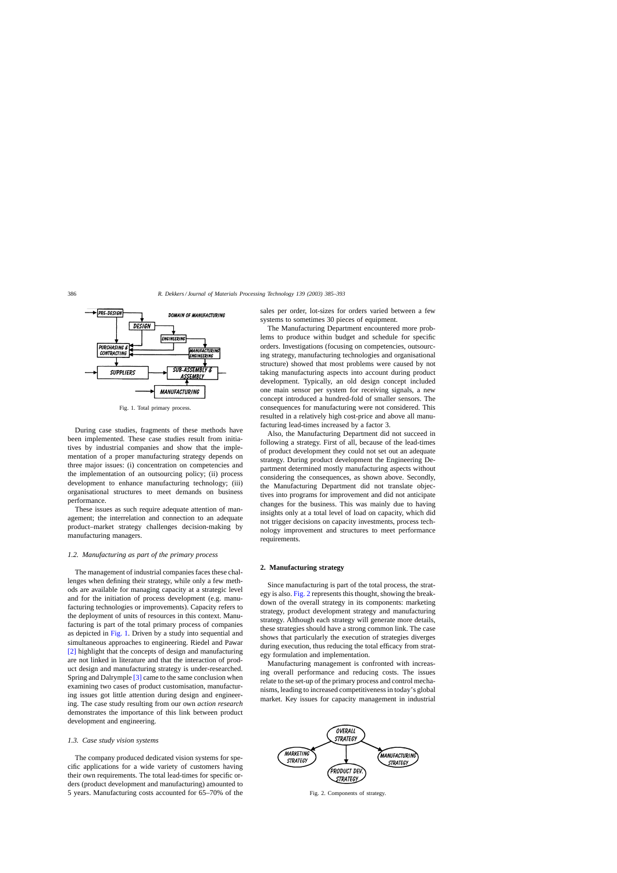

Fig. 1. Total primary process.

During case studies, fragments of these methods have been implemented. These case studies result from initiatives by industrial companies and show that the implementation of a proper manufacturing strategy depends on three major issues: (i) concentration on competencies and the implementation of an outsourcing policy; (ii) process development to enhance manufacturing technology; (iii) organisational structures to meet demands on business performance.

These issues as such require adequate attention of management; the interrelation and connection to an adequate product–market strategy challenges decision-making by manufacturing managers.

#### *1.2. Manufacturing as part of the primary process*

The management of industrial companies faces these challenges when defining their strategy, while only a few methods are available for managing capacity at a strategic level and for the initiation of process development (e.g. manufacturing technologies or improvements). Capacity refers to the deployment of units of resources in this context. Manufacturing is part of the total primary process of companies as depicted in Fig. 1. Driven by a study into sequential and simultaneous approaches to engineering. Riedel and Pawar [\[2\]](#page--1-0) highlight that the concepts of design and manufacturing are not linked in literature and that the interaction of product design and manufacturing strategy is under-researched. Spring and Dalrymple [\[3\]](#page--1-0) came to the same conclusion when examining two cases of product customisation, manufacturing issues got little attention during design and engineering. The case study resulting from our own *action research* demonstrates the importance of this link between product development and engineering.

#### *1.3. Case study vision systems*

The company produced dedicated vision systems for specific applications for a wide variety of customers having their own requirements. The total lead-times for specific orders (product development and manufacturing) amounted to 5 years. Manufacturing costs accounted for 65–70% of the sales per order, lot-sizes for orders varied between a few systems to sometimes 30 pieces of equipment.

The Manufacturing Department encountered more problems to produce within budget and schedule for specific orders. Investigations (focusing on competencies, outsourcing strategy, manufacturing technologies and organisational structure) showed that most problems were caused by not taking manufacturing aspects into account during product development. Typically, an old design concept included one main sensor per system for receiving signals, a new concept introduced a hundred-fold of smaller sensors. The consequences for manufacturing were not considered. This resulted in a relatively high cost-price and above all manufacturing lead-times increased by a factor 3.

Also, the Manufacturing Department did not succeed in following a strategy. First of all, because of the lead-times of product development they could not set out an adequate strategy. During product development the Engineering Department determined mostly manufacturing aspects without considering the consequences, as shown above. Secondly, the Manufacturing Department did not translate objectives into programs for improvement and did not anticipate changes for the business. This was mainly due to having insights only at a total level of load on capacity, which did not trigger decisions on capacity investments, process technology improvement and structures to meet performance requirements.

### **2. Manufacturing strategy**

Since manufacturing is part of the total process, the strategy is also. Fig. 2 represents this thought, showing the breakdown of the overall strategy in its components: marketing strategy, product development strategy and manufacturing strategy. Although each strategy will generate more details, these strategies should have a strong common link. The case shows that particularly the execution of strategies diverges during execution, thus reducing the total efficacy from strategy formulation and implementation.

Manufacturing management is confronted with increasing overall performance and reducing costs. The issues relate to the set-up of the primary process and control mechanisms, leading to increased competitiveness in today's global market. Key issues for capacity management in industrial



Fig. 2. Components of strategy.